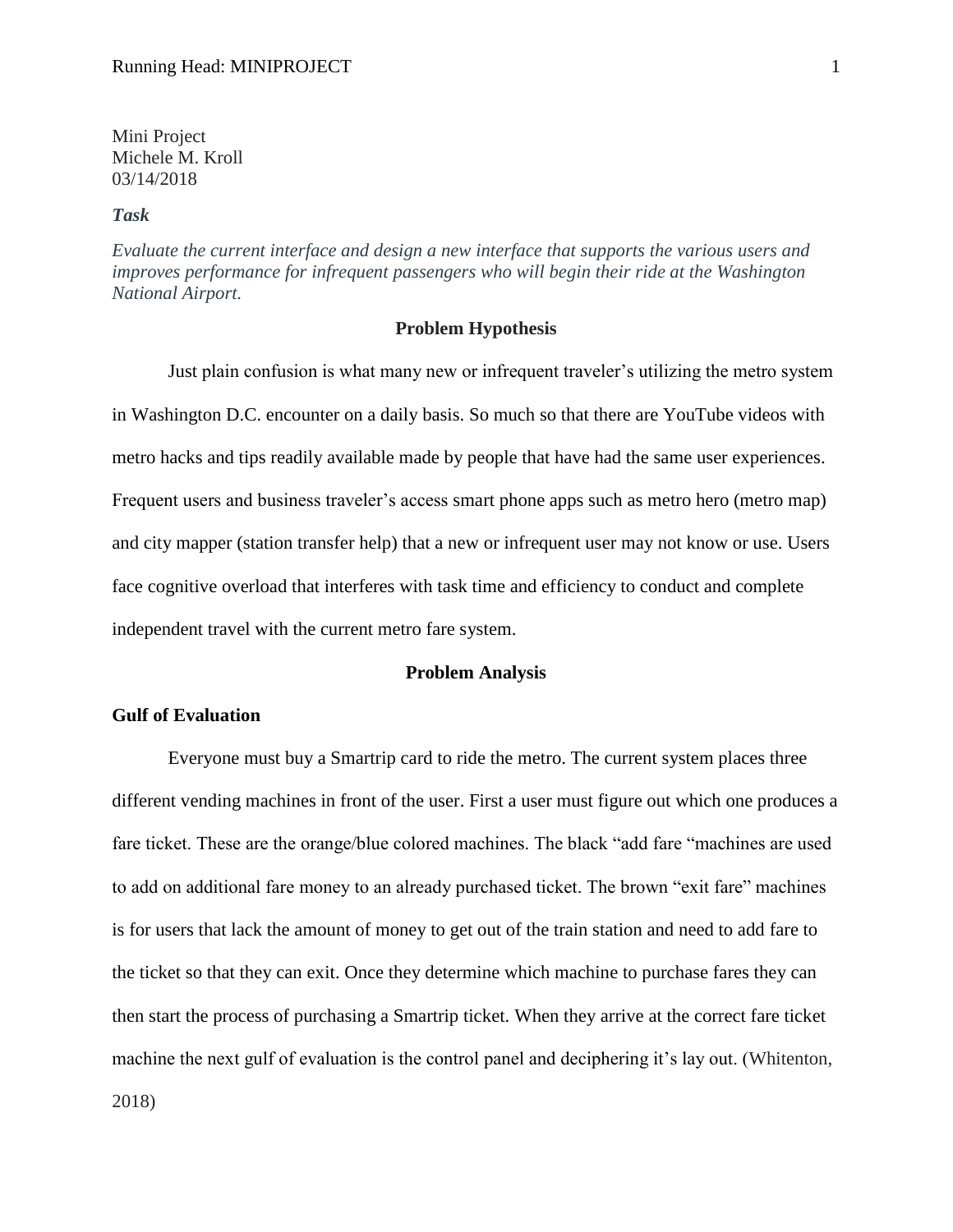Mini Project Michele M. Kroll 03/14/2018

#### *Task*

*Evaluate the current interface and design a new interface that supports the various users and improves performance for infrequent passengers who will begin their ride at the Washington National Airport.*

#### **Problem Hypothesis**

Just plain confusion is what many new or infrequent traveler's utilizing the metro system in Washington D.C. encounter on a daily basis. So much so that there are YouTube videos with metro hacks and tips readily available made by people that have had the same user experiences. Frequent users and business traveler's access smart phone apps such as metro hero (metro map) and city mapper (station transfer help) that a new or infrequent user may not know or use. Users face cognitive overload that interferes with task time and efficiency to conduct and complete independent travel with the current metro fare system.

#### **Problem Analysis**

### **Gulf of Evaluation**

Everyone must buy a Smartrip card to ride the metro. The current system places three different vending machines in front of the user. First a user must figure out which one produces a fare ticket. These are the orange/blue colored machines. The black "add fare "machines are used to add on additional fare money to an already purchased ticket. The brown "exit fare" machines is for users that lack the amount of money to get out of the train station and need to add fare to the ticket so that they can exit. Once they determine which machine to purchase fares they can then start the process of purchasing a Smartrip ticket. When they arrive at the correct fare ticket machine the next gulf of evaluation is the control panel and deciphering it's lay out. (Whitenton, 2018)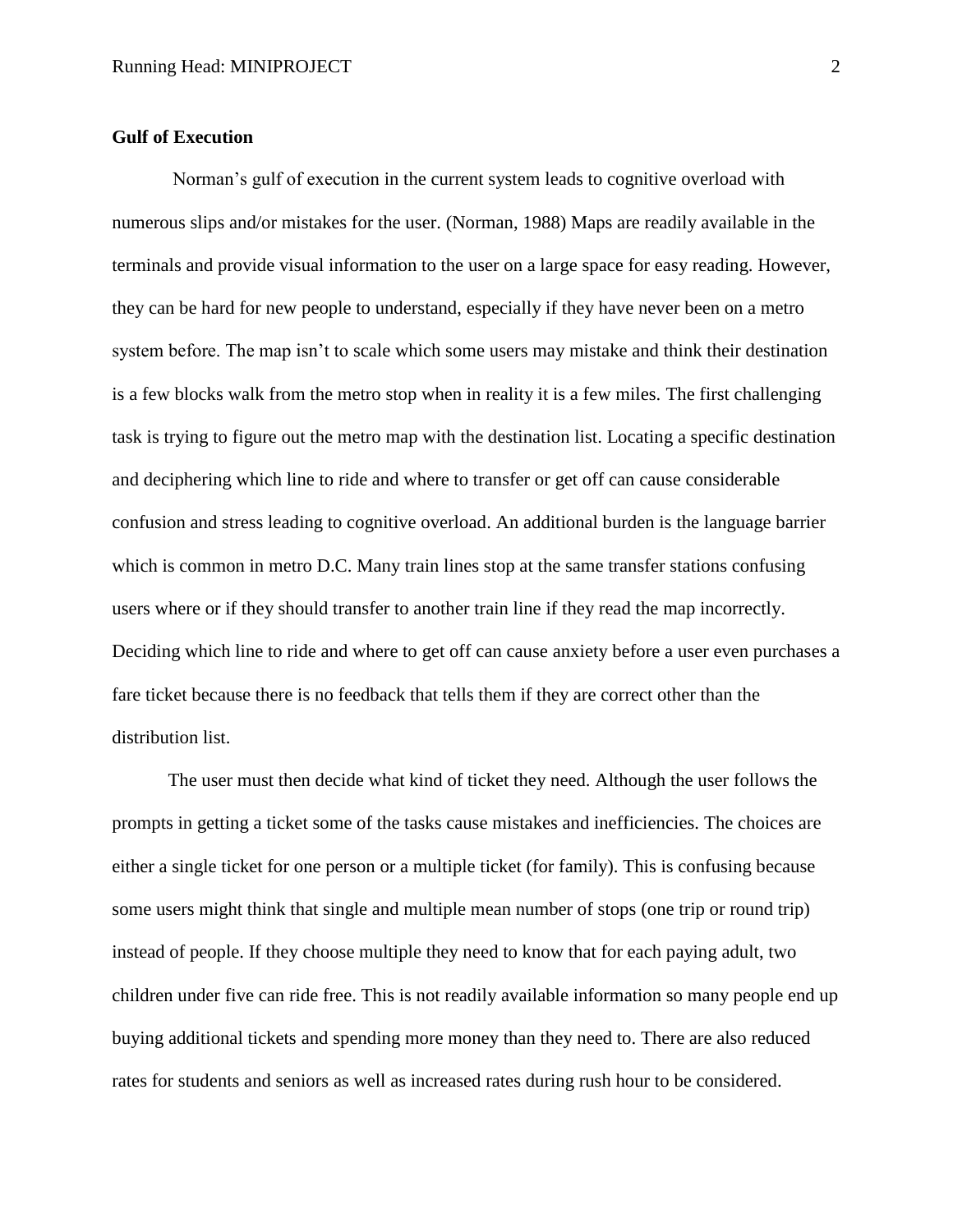## **Gulf of Execution**

Norman's gulf of execution in the current system leads to cognitive overload with numerous slips and/or mistakes for the user. (Norman, 1988) Maps are readily available in the terminals and provide visual information to the user on a large space for easy reading. However, they can be hard for new people to understand, especially if they have never been on a metro system before. The map isn't to scale which some users may mistake and think their destination is a few blocks walk from the metro stop when in reality it is a few miles. The first challenging task is trying to figure out the metro map with the destination list. Locating a specific destination and deciphering which line to ride and where to transfer or get off can cause considerable confusion and stress leading to cognitive overload. An additional burden is the language barrier which is common in metro D.C. Many train lines stop at the same transfer stations confusing users where or if they should transfer to another train line if they read the map incorrectly. Deciding which line to ride and where to get off can cause anxiety before a user even purchases a fare ticket because there is no feedback that tells them if they are correct other than the distribution list.

The user must then decide what kind of ticket they need. Although the user follows the prompts in getting a ticket some of the tasks cause mistakes and inefficiencies. The choices are either a single ticket for one person or a multiple ticket (for family). This is confusing because some users might think that single and multiple mean number of stops (one trip or round trip) instead of people. If they choose multiple they need to know that for each paying adult, two children under five can ride free. This is not readily available information so many people end up buying additional tickets and spending more money than they need to. There are also reduced rates for students and seniors as well as increased rates during rush hour to be considered.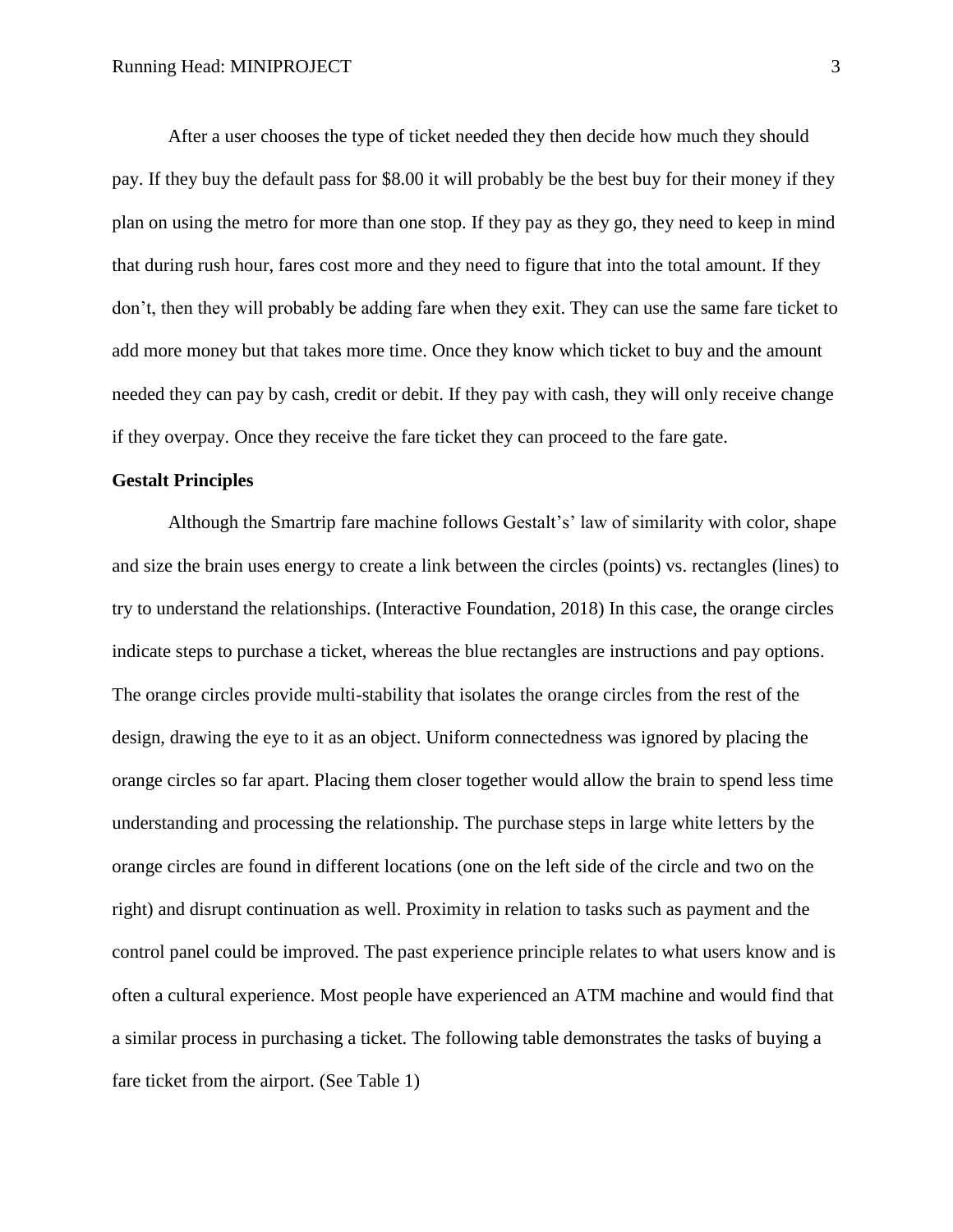After a user chooses the type of ticket needed they then decide how much they should pay. If they buy the default pass for \$8.00 it will probably be the best buy for their money if they plan on using the metro for more than one stop. If they pay as they go, they need to keep in mind that during rush hour, fares cost more and they need to figure that into the total amount. If they don't, then they will probably be adding fare when they exit. They can use the same fare ticket to add more money but that takes more time. Once they know which ticket to buy and the amount needed they can pay by cash, credit or debit. If they pay with cash, they will only receive change if they overpay. Once they receive the fare ticket they can proceed to the fare gate.

#### **Gestalt Principles**

Although the Smartrip fare machine follows Gestalt's' law of similarity with color, shape and size the brain uses energy to create a link between the circles (points) vs. rectangles (lines) to try to understand the relationships. (Interactive Foundation, 2018) In this case, the orange circles indicate steps to purchase a ticket, whereas the blue rectangles are instructions and pay options. The orange circles provide multi-stability that isolates the orange circles from the rest of the design, drawing the eye to it as an object. Uniform connectedness was ignored by placing the orange circles so far apart. Placing them closer together would allow the brain to spend less time understanding and processing the relationship. The purchase steps in large white letters by the orange circles are found in different locations (one on the left side of the circle and two on the right) and disrupt continuation as well. Proximity in relation to tasks such as payment and the control panel could be improved. The past experience principle relates to what users know and is often a cultural experience. Most people have experienced an ATM machine and would find that a similar process in purchasing a ticket. The following table demonstrates the tasks of buying a fare ticket from the airport. (See Table 1)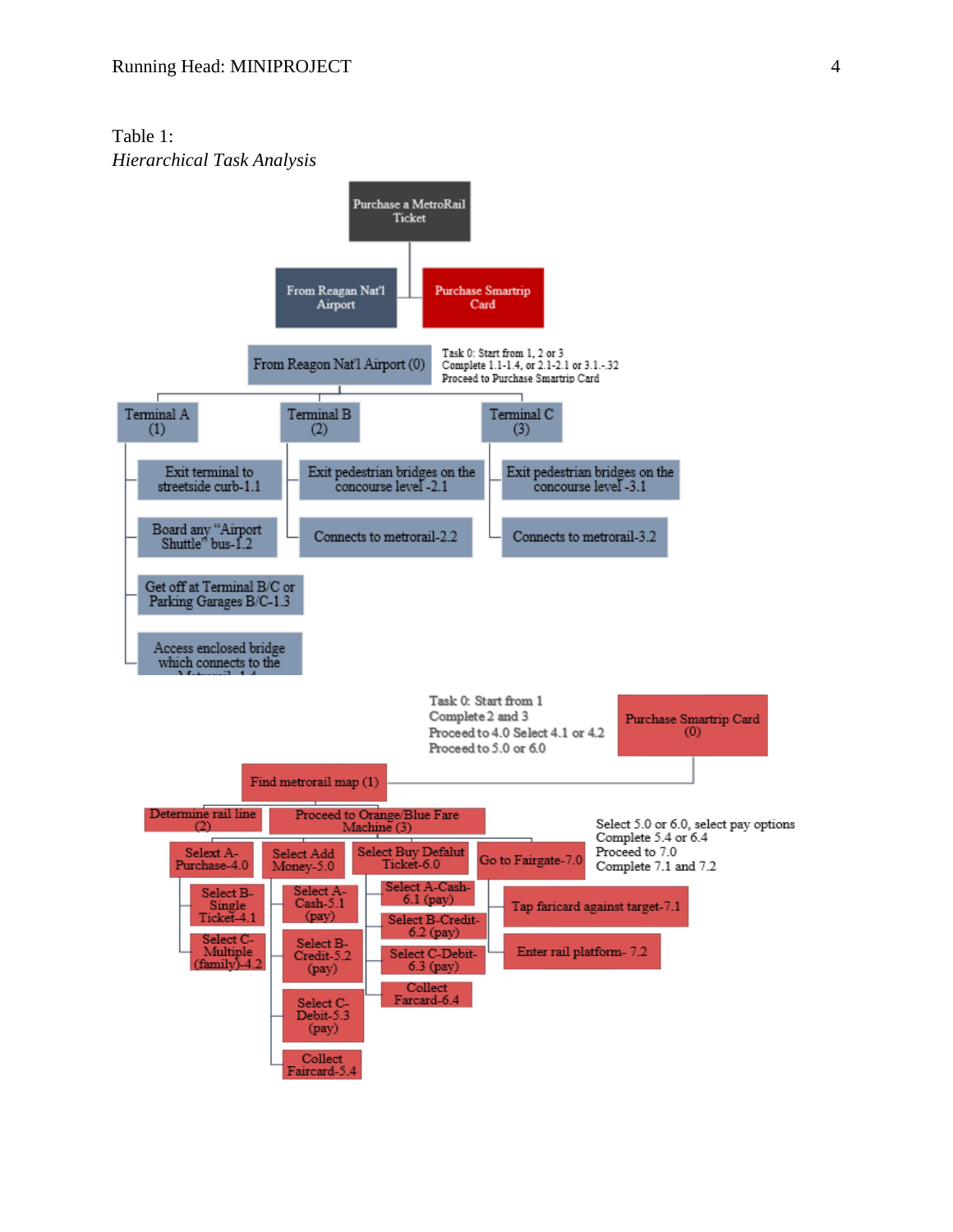Table 1: *Hierarchical Task Analysis*

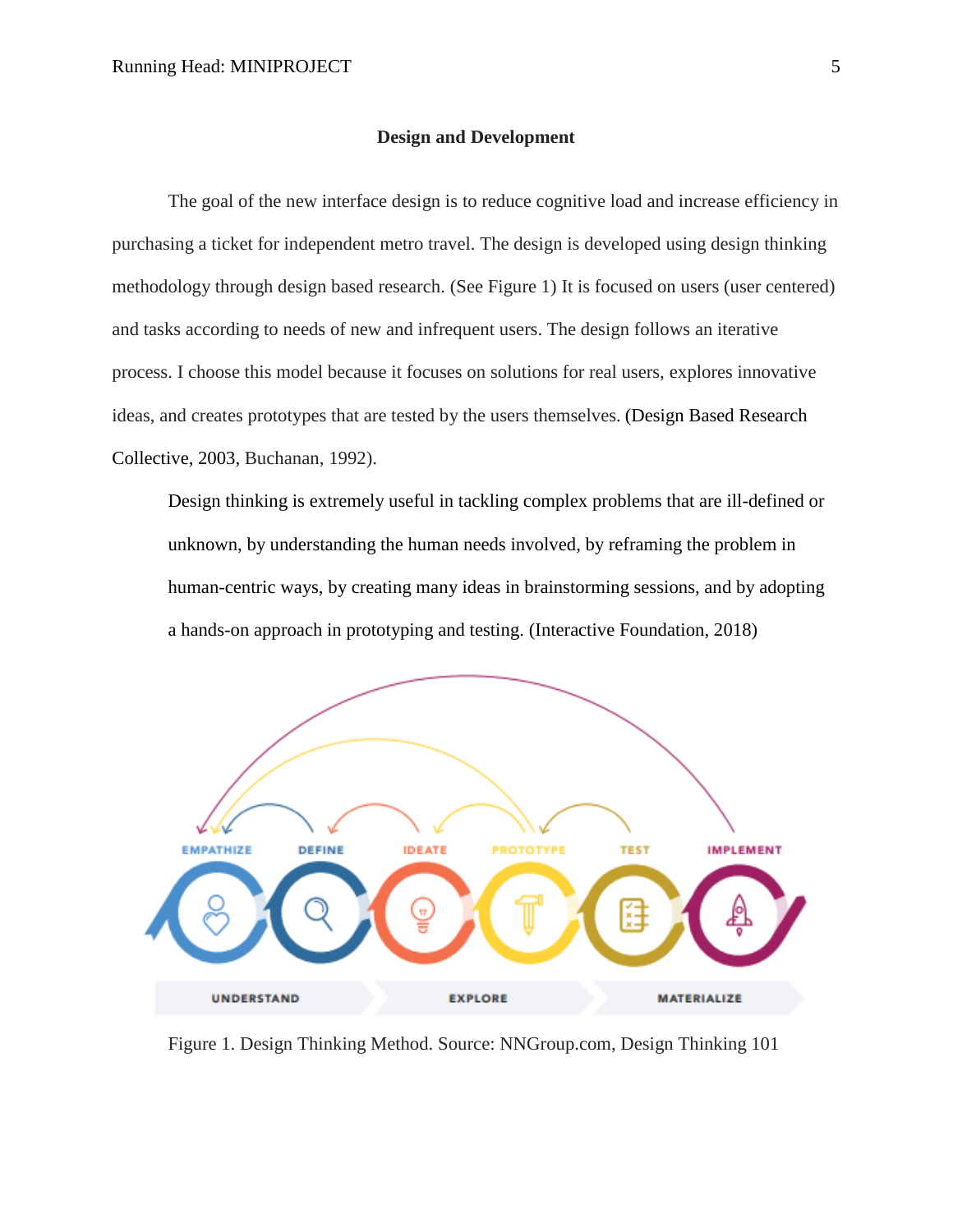#### **Design and Development**

The goal of the new interface design is to reduce cognitive load and increase efficiency in purchasing a ticket for independent metro travel. The design is developed using design thinking methodology through design based research. (See Figure 1) It is focused on users (user centered) and tasks according to needs of new and infrequent users. The design follows an iterative process. I choose this model because it focuses on solutions for real users, explores innovative ideas, and creates prototypes that are tested by the users themselves. (Design Based Research Collective, 2003, Buchanan, 1992).

Design thinking is extremely useful in tackling complex problems that are ill-defined or unknown, by understanding the human needs involved, by reframing the problem in human-centric ways, by creating many ideas in brainstorming sessions, and by adopting a hands-on approach in prototyping and testing. (Interactive Foundation, 2018)



Figure 1. Design Thinking Method. Source: NNGroup.com, Design Thinking 101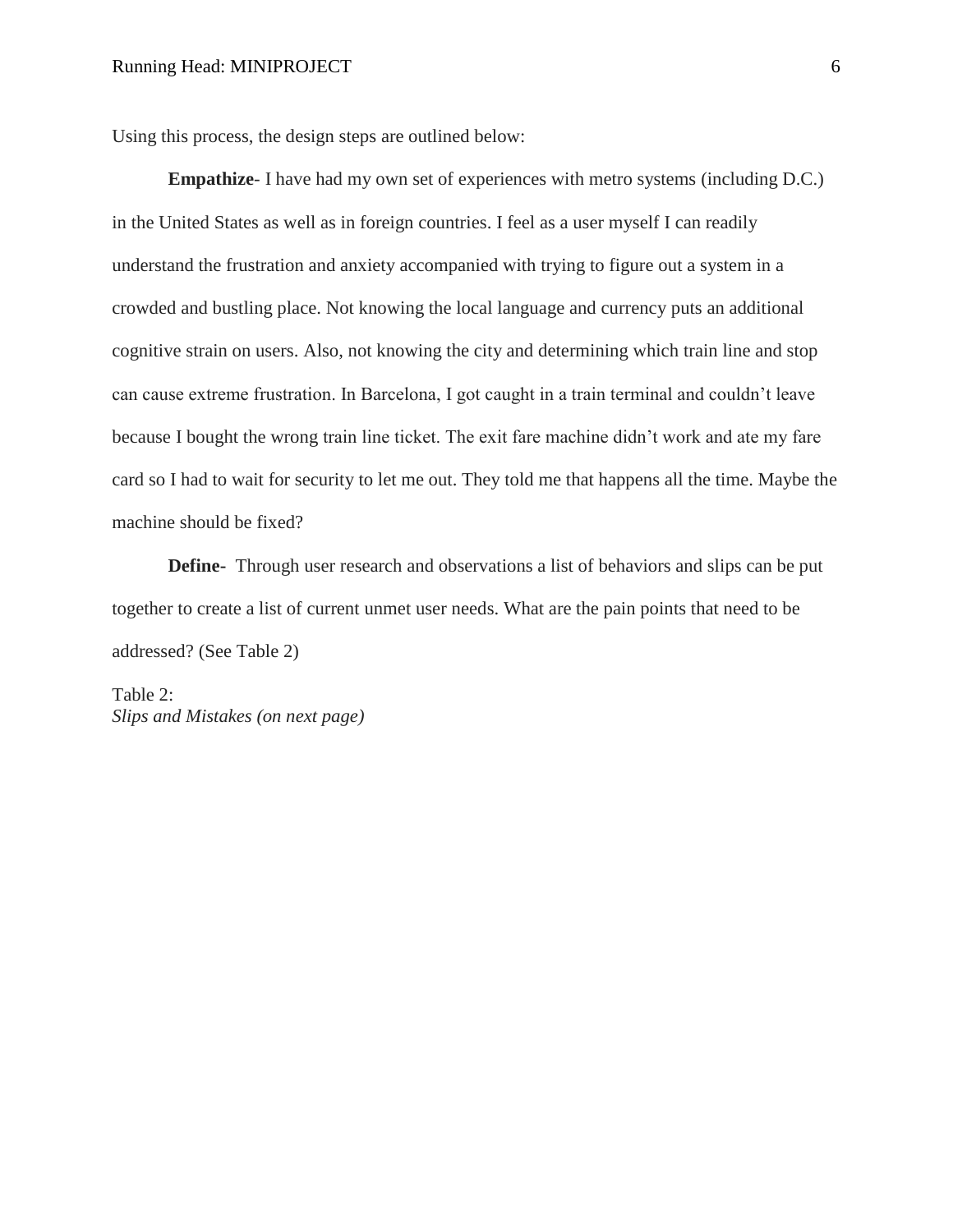Using this process, the design steps are outlined below:

**Empathize**- I have had my own set of experiences with metro systems (including D.C.) in the United States as well as in foreign countries. I feel as a user myself I can readily understand the frustration and anxiety accompanied with trying to figure out a system in a crowded and bustling place. Not knowing the local language and currency puts an additional cognitive strain on users. Also, not knowing the city and determining which train line and stop can cause extreme frustration. In Barcelona, I got caught in a train terminal and couldn't leave because I bought the wrong train line ticket. The exit fare machine didn't work and ate my fare card so I had to wait for security to let me out. They told me that happens all the time. Maybe the machine should be fixed?

**Define-** Through user research and observations a list of behaviors and slips can be put together to create a list of current unmet user needs. What are the pain points that need to be addressed? (See Table 2)

Table 2: *Slips and Mistakes (on next page)*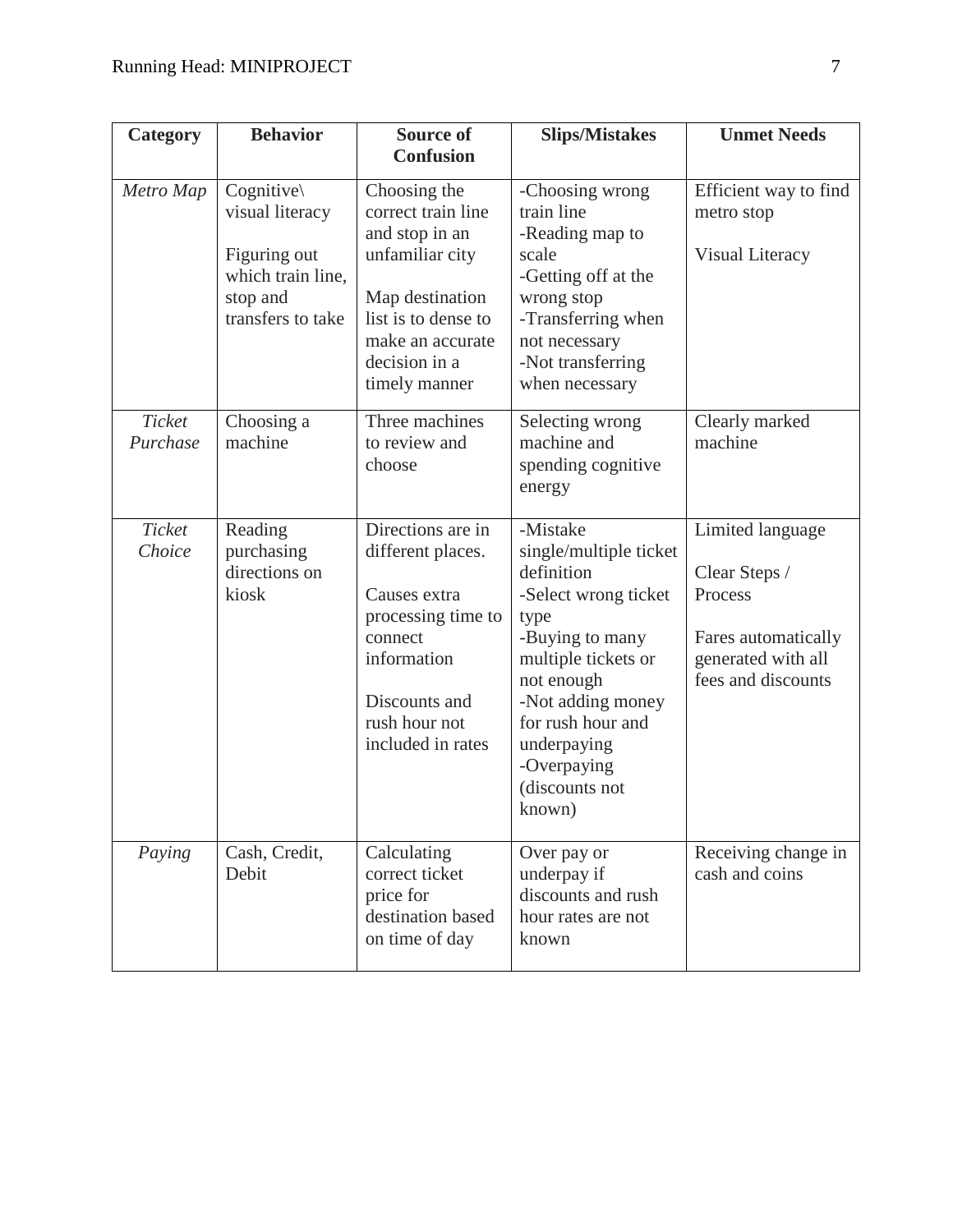| Category           | <b>Behavior</b>                                                                                                | <b>Source of</b>                                                                                                                                                        | <b>Slips/Mistakes</b>                                                                                                                                                                                                                        | <b>Unmet Needs</b>                                                                                              |  |
|--------------------|----------------------------------------------------------------------------------------------------------------|-------------------------------------------------------------------------------------------------------------------------------------------------------------------------|----------------------------------------------------------------------------------------------------------------------------------------------------------------------------------------------------------------------------------------------|-----------------------------------------------------------------------------------------------------------------|--|
|                    |                                                                                                                | <b>Confusion</b>                                                                                                                                                        |                                                                                                                                                                                                                                              |                                                                                                                 |  |
| Metro Map          | $Cognitive \setminus$<br>visual literacy<br>Figuring out<br>which train line,<br>stop and<br>transfers to take | Choosing the<br>correct train line<br>and stop in an<br>unfamiliar city<br>Map destination<br>list is to dense to<br>make an accurate<br>decision in a<br>timely manner | -Choosing wrong<br>train line<br>-Reading map to<br>scale<br>-Getting off at the<br>wrong stop<br>-Transferring when<br>not necessary<br>-Not transferring<br>when necessary                                                                 | Efficient way to find<br>metro stop<br>Visual Literacy                                                          |  |
| Ticket<br>Purchase | Choosing a<br>machine                                                                                          | Three machines<br>to review and<br>choose                                                                                                                               | Selecting wrong<br>machine and<br>spending cognitive<br>energy                                                                                                                                                                               | Clearly marked<br>machine                                                                                       |  |
| Ticket<br>Choice   | Reading<br>purchasing<br>directions on<br>kiosk                                                                | Directions are in<br>different places.<br>Causes extra<br>processing time to<br>connect<br>information<br>Discounts and<br>rush hour not<br>included in rates           | -Mistake<br>single/multiple ticket<br>definition<br>-Select wrong ticket<br>type<br>-Buying to many<br>multiple tickets or<br>not enough<br>-Not adding money<br>for rush hour and<br>underpaying<br>-Overpaying<br>(discounts not<br>known) | Limited language<br>Clear Steps /<br>Process<br>Fares automatically<br>generated with all<br>fees and discounts |  |
| Paying             | Cash, Credit,<br>Debit                                                                                         | Calculating<br>correct ticket<br>price for<br>destination based<br>on time of day                                                                                       | Over pay or<br>underpay if<br>discounts and rush<br>hour rates are not<br>known                                                                                                                                                              | Receiving change in<br>cash and coins                                                                           |  |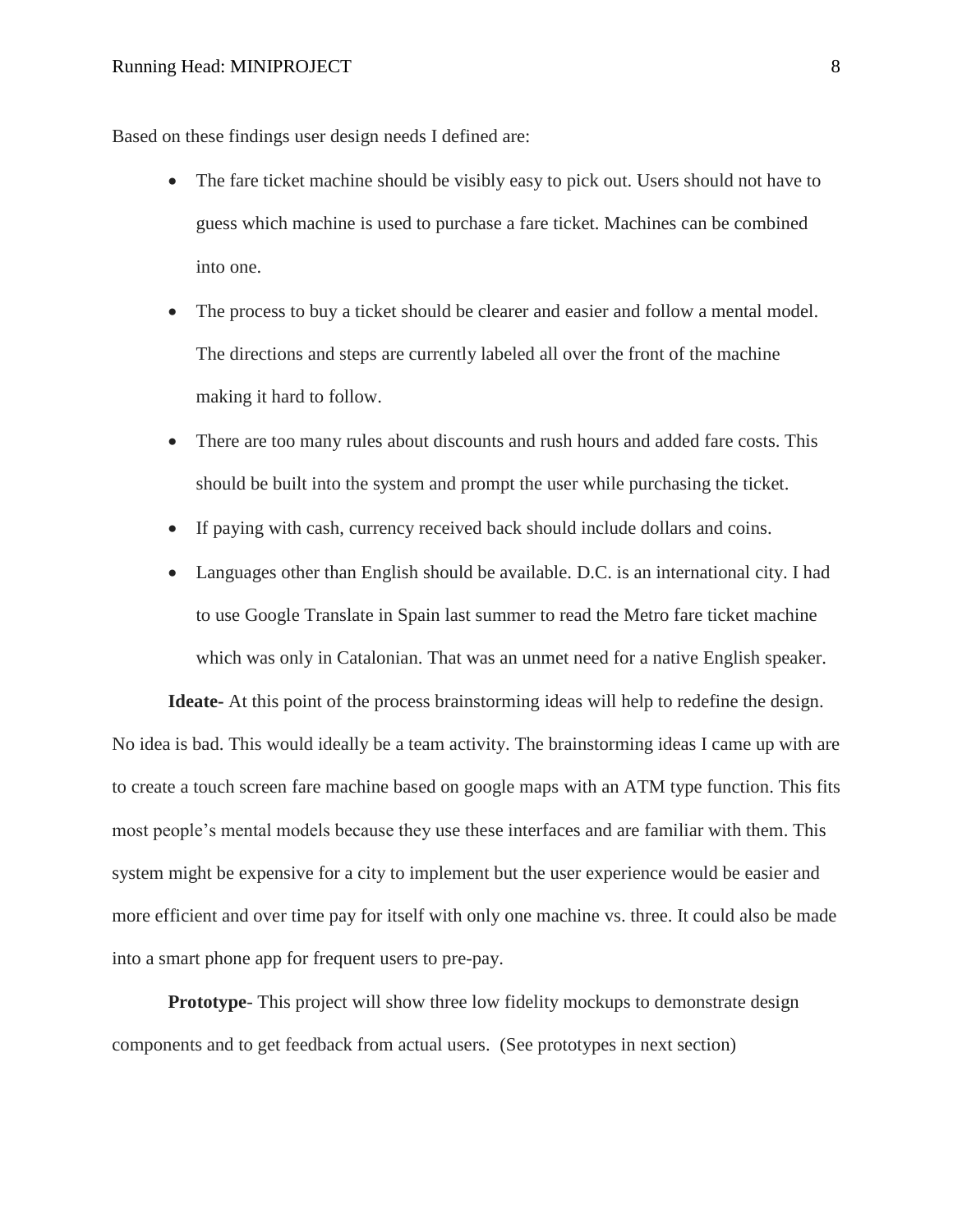Based on these findings user design needs I defined are:

- The fare ticket machine should be visibly easy to pick out. Users should not have to guess which machine is used to purchase a fare ticket. Machines can be combined into one.
- The process to buy a ticket should be clearer and easier and follow a mental model. The directions and steps are currently labeled all over the front of the machine making it hard to follow.
- There are too many rules about discounts and rush hours and added fare costs. This should be built into the system and prompt the user while purchasing the ticket.
- If paying with cash, currency received back should include dollars and coins.
- Languages other than English should be available. D.C. is an international city. I had to use Google Translate in Spain last summer to read the Metro fare ticket machine which was only in Catalonian. That was an unmet need for a native English speaker.

**Ideate-** At this point of the process brainstorming ideas will help to redefine the design. No idea is bad. This would ideally be a team activity. The brainstorming ideas I came up with are to create a touch screen fare machine based on google maps with an ATM type function. This fits most people's mental models because they use these interfaces and are familiar with them. This system might be expensive for a city to implement but the user experience would be easier and more efficient and over time pay for itself with only one machine vs. three. It could also be made into a smart phone app for frequent users to pre-pay.

**Prototype**- This project will show three low fidelity mockups to demonstrate design components and to get feedback from actual users. (See prototypes in next section)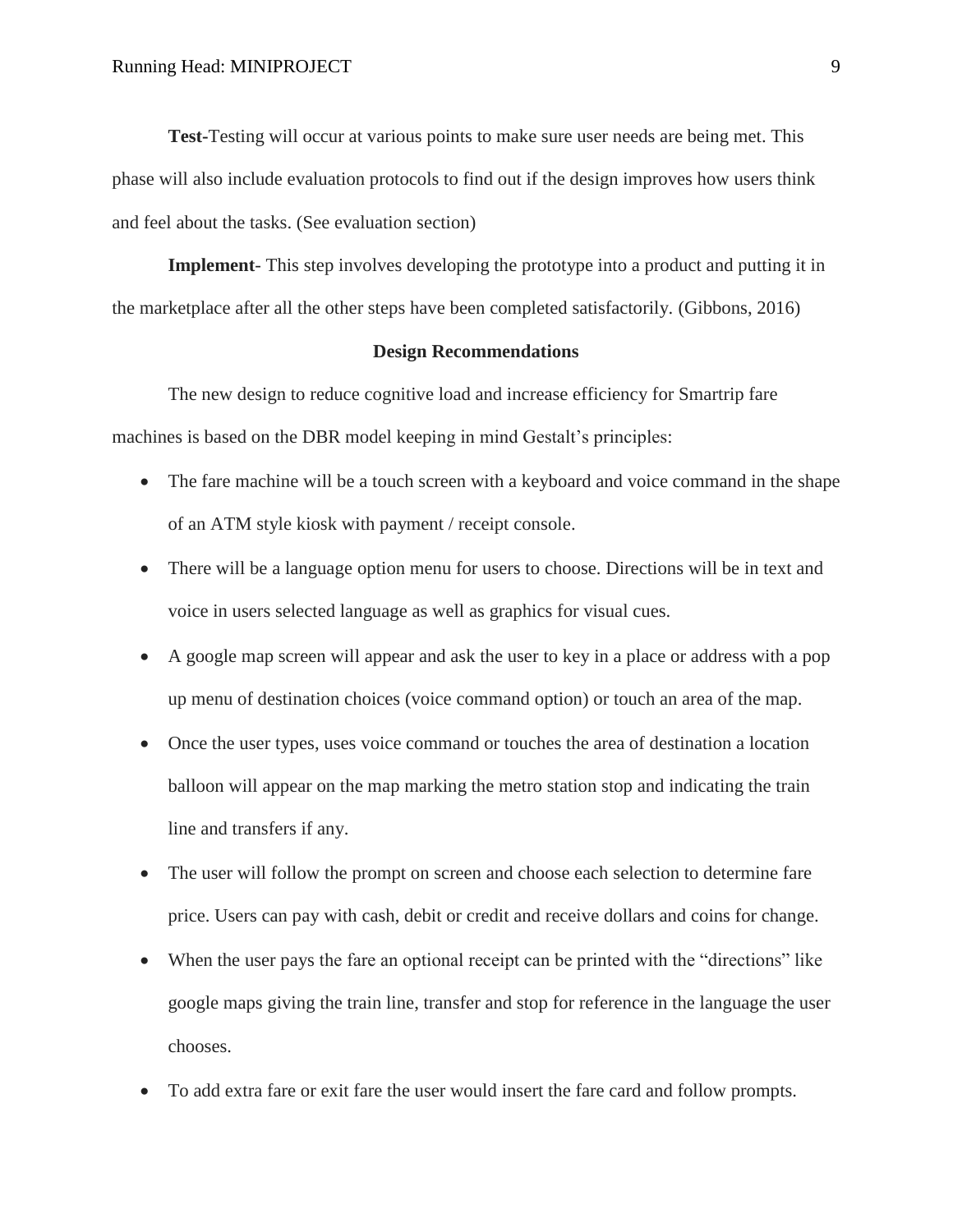**Test-**Testing will occur at various points to make sure user needs are being met. This phase will also include evaluation protocols to find out if the design improves how users think and feel about the tasks. (See evaluation section)

**Implement**- This step involves developing the prototype into a product and putting it in the marketplace after all the other steps have been completed satisfactorily. (Gibbons, 2016)

#### **Design Recommendations**

The new design to reduce cognitive load and increase efficiency for Smartrip fare machines is based on the DBR model keeping in mind Gestalt's principles:

- The fare machine will be a touch screen with a keyboard and voice command in the shape of an ATM style kiosk with payment / receipt console.
- There will be a language option menu for users to choose. Directions will be in text and voice in users selected language as well as graphics for visual cues.
- A google map screen will appear and ask the user to key in a place or address with a pop up menu of destination choices (voice command option) or touch an area of the map.
- Once the user types, uses voice command or touches the area of destination a location balloon will appear on the map marking the metro station stop and indicating the train line and transfers if any.
- The user will follow the prompt on screen and choose each selection to determine fare price. Users can pay with cash, debit or credit and receive dollars and coins for change.
- When the user pays the fare an optional receipt can be printed with the "directions" like google maps giving the train line, transfer and stop for reference in the language the user chooses.
- To add extra fare or exit fare the user would insert the fare card and follow prompts.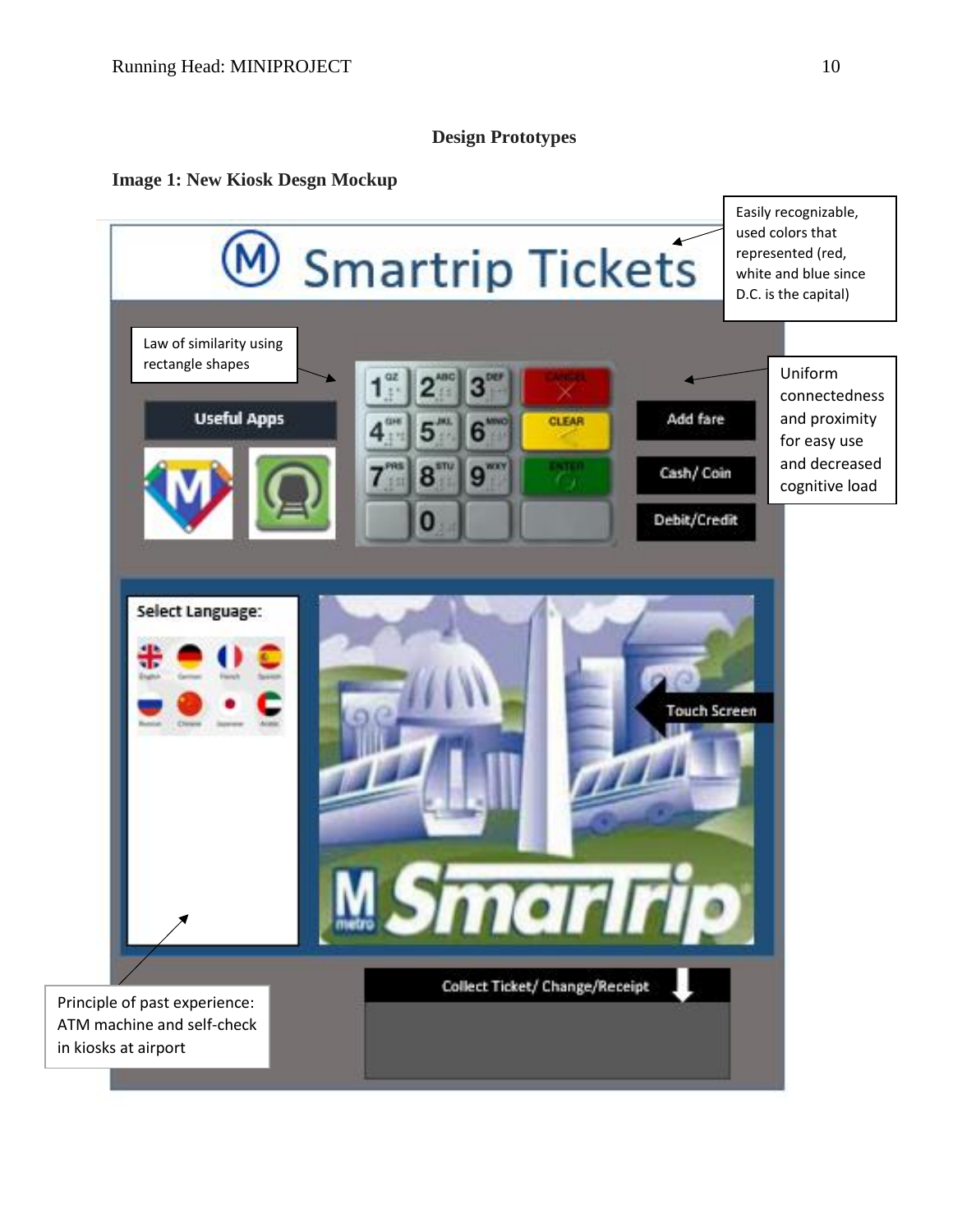## **Design Prototypes**

## **Image 1: New Kiosk Desgn Mockup**

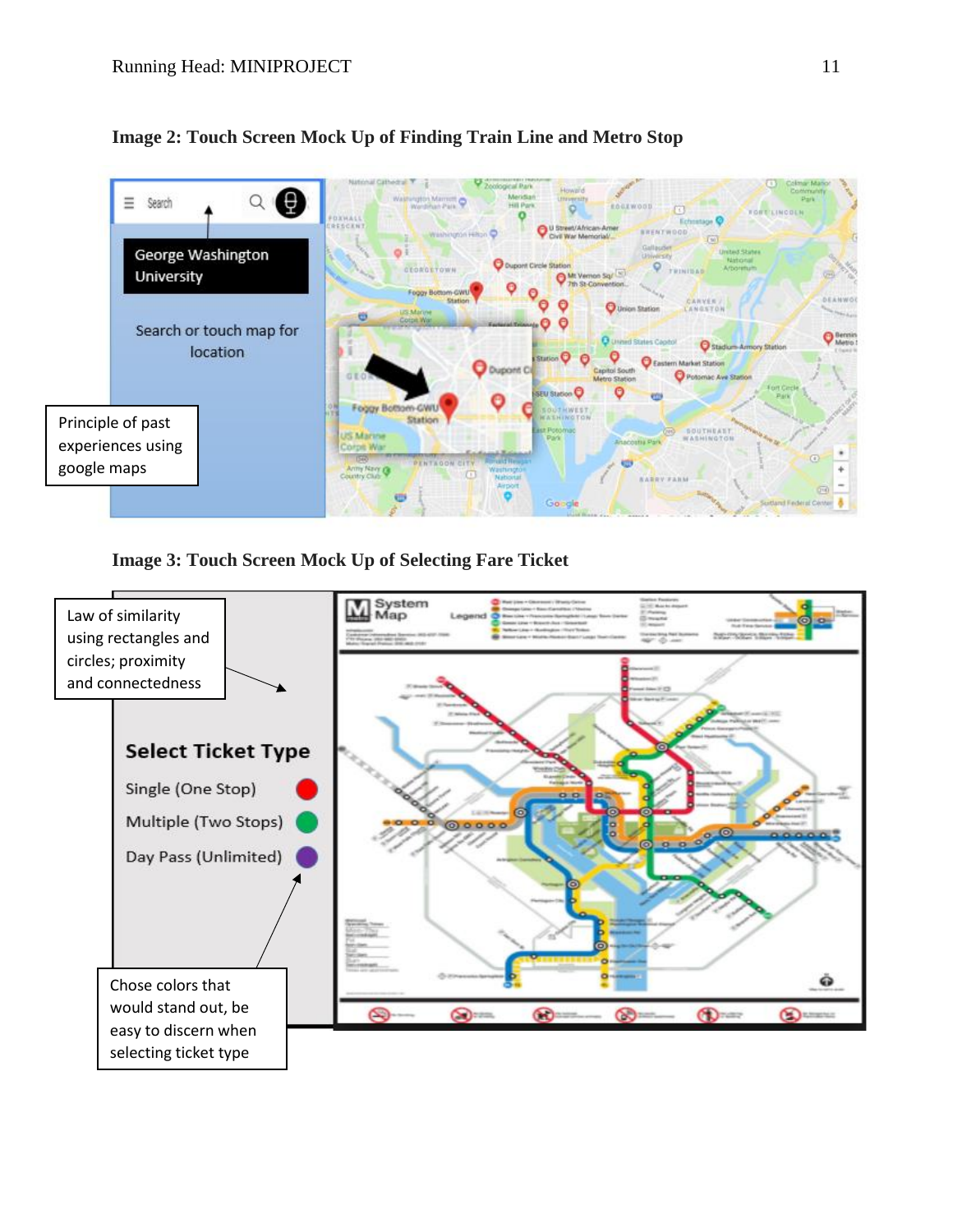

## **Image 2: Touch Screen Mock Up of Finding Train Line and Metro Stop**

**Image 3: Touch Screen Mock Up of Selecting Fare Ticket**

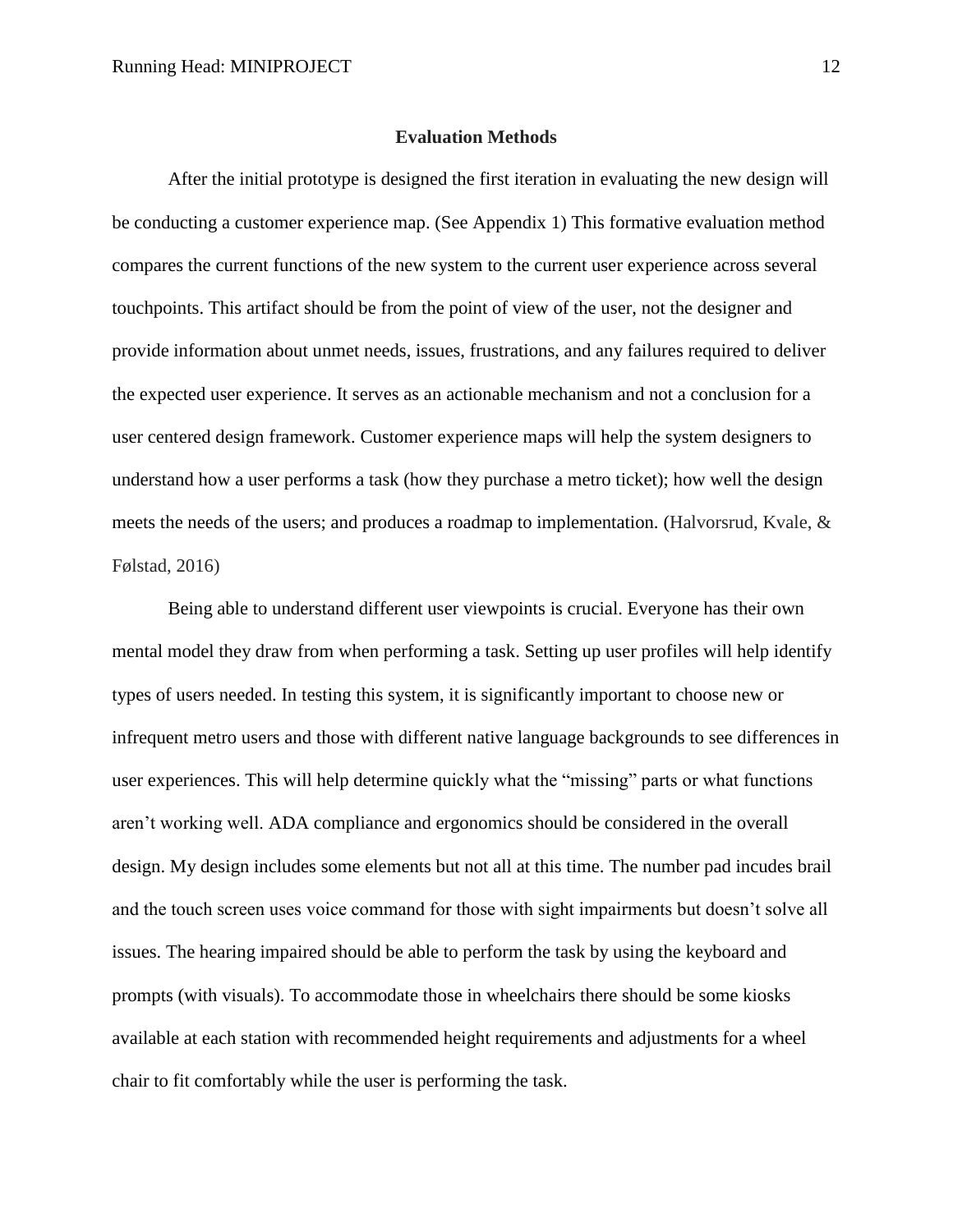#### **Evaluation Methods**

After the initial prototype is designed the first iteration in evaluating the new design will be conducting a customer experience map. (See Appendix 1) This formative evaluation method compares the current functions of the new system to the current user experience across several touchpoints. This artifact should be from the point of view of the user, not the designer and provide information about unmet needs, issues, frustrations, and any failures required to deliver the expected user experience. It serves as an actionable mechanism and not a conclusion for a user centered design framework. Customer experience maps will help the system designers to understand how a user performs a task (how they purchase a metro ticket); how well the design meets the needs of the users; and produces a roadmap to implementation. (Halvorsrud, Kvale, & Følstad, 2016)

Being able to understand different user viewpoints is crucial. Everyone has their own mental model they draw from when performing a task. Setting up user profiles will help identify types of users needed. In testing this system, it is significantly important to choose new or infrequent metro users and those with different native language backgrounds to see differences in user experiences. This will help determine quickly what the "missing" parts or what functions aren't working well. ADA compliance and ergonomics should be considered in the overall design. My design includes some elements but not all at this time. The number pad incudes brail and the touch screen uses voice command for those with sight impairments but doesn't solve all issues. The hearing impaired should be able to perform the task by using the keyboard and prompts (with visuals). To accommodate those in wheelchairs there should be some kiosks available at each station with recommended height requirements and adjustments for a wheel chair to fit comfortably while the user is performing the task.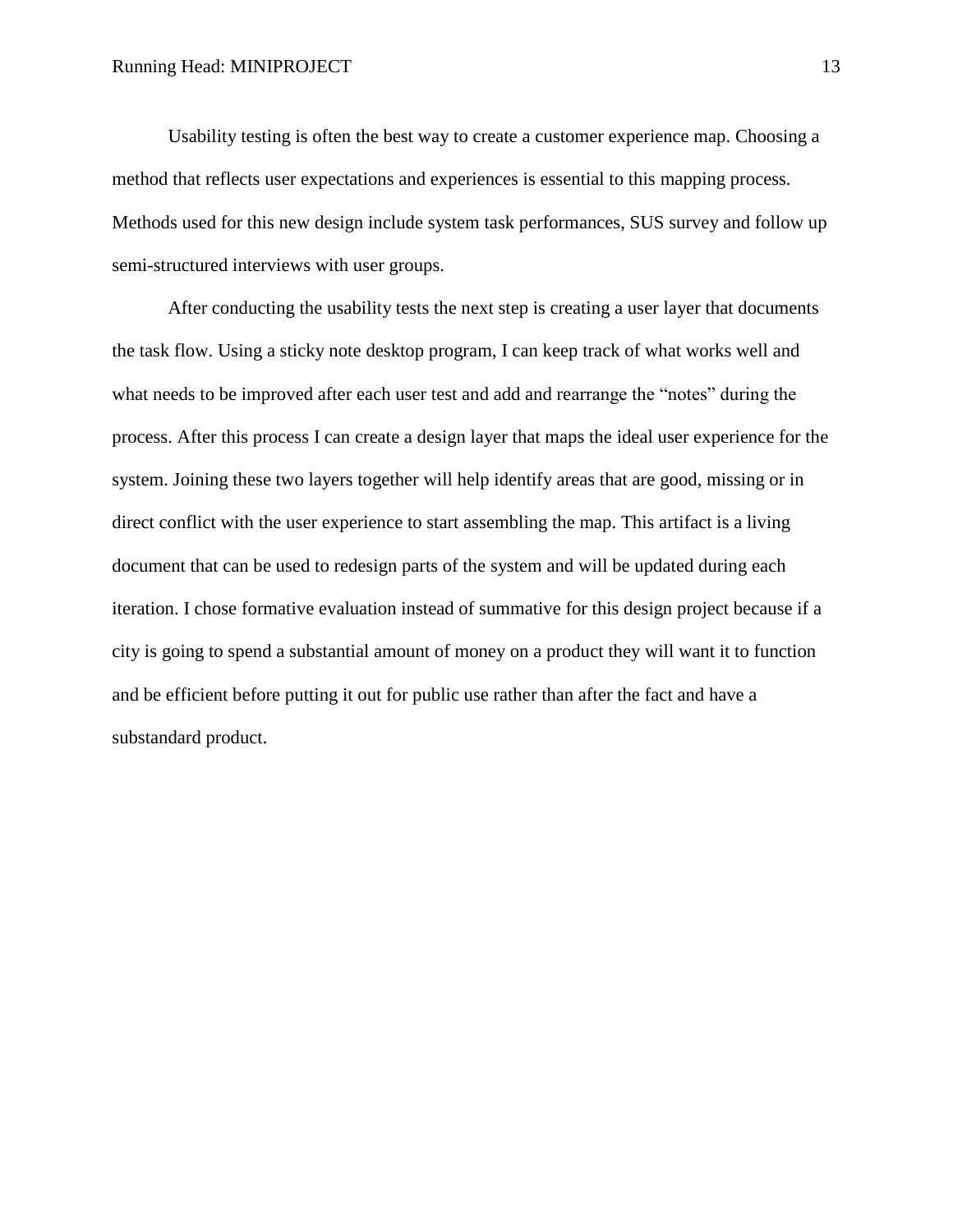Usability testing is often the best way to create a customer experience map. Choosing a method that reflects user expectations and experiences is essential to this mapping process. Methods used for this new design include system task performances, SUS survey and follow up semi-structured interviews with user groups.

After conducting the usability tests the next step is creating a user layer that documents the task flow. Using a sticky note desktop program, I can keep track of what works well and what needs to be improved after each user test and add and rearrange the "notes" during the process. After this process I can create a design layer that maps the ideal user experience for the system. Joining these two layers together will help identify areas that are good, missing or in direct conflict with the user experience to start assembling the map. This artifact is a living document that can be used to redesign parts of the system and will be updated during each iteration. I chose formative evaluation instead of summative for this design project because if a city is going to spend a substantial amount of money on a product they will want it to function and be efficient before putting it out for public use rather than after the fact and have a substandard product.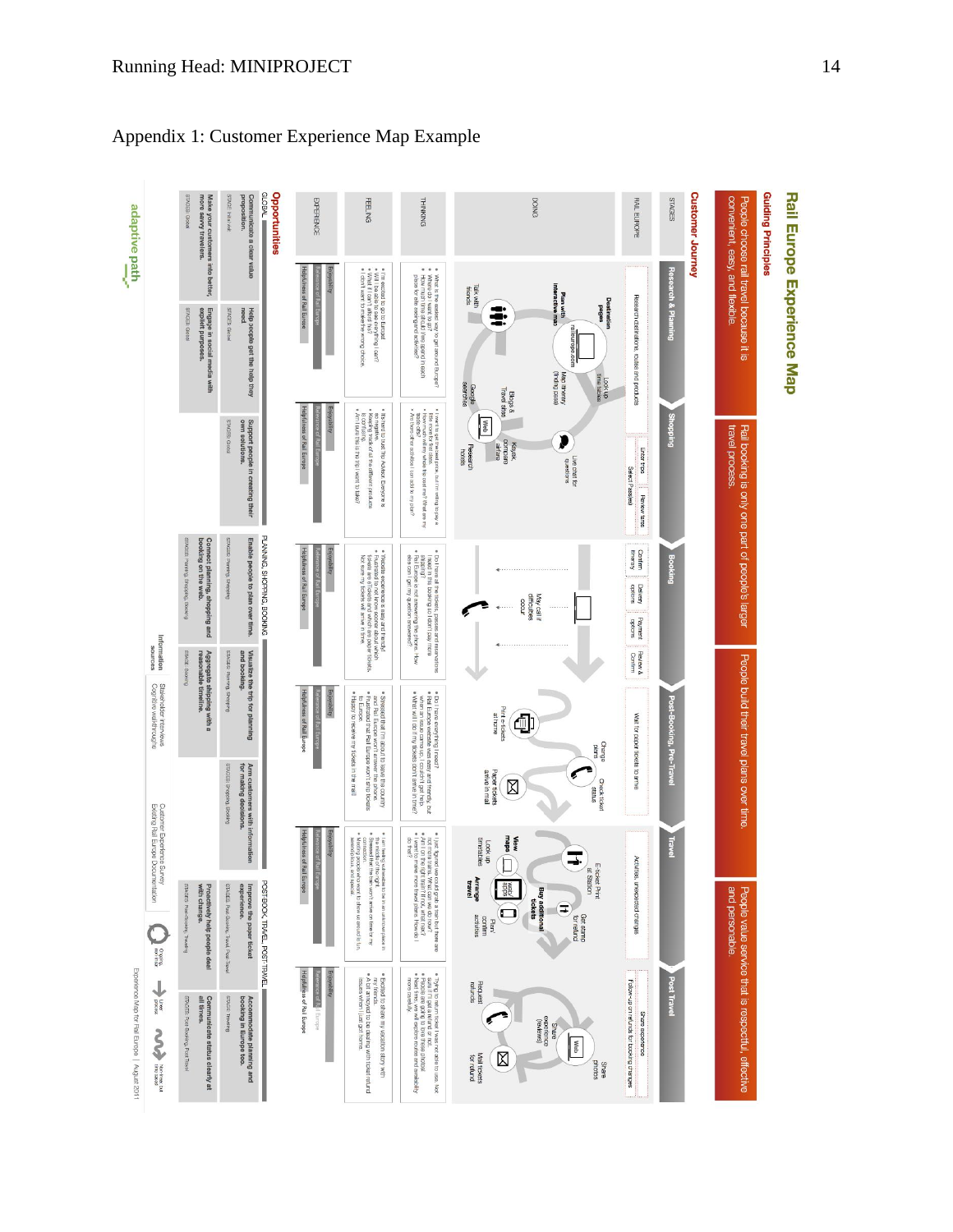| adaptive path                                                                      |                                                                                                          | <b>STAGES: Global</b><br>more savvy travelers.<br>Make your customers into better,           | STAGE: Initial visit<br>proposition.                                                | $=$ MBOTD<br>Opportunities<br>Communicate a clear value         | <b>EXPERIENCE</b>                                              | <b>FEELING</b>                                                                                                                                                                                                                            | <b>THINKING</b>                                                                                                                                                                                                                                                    | <b>DOING</b>                                                                                                                                                                                           | <b>RAIL EUROPE</b>                                               | <b>Customer Journey</b><br>SHOES | <b>Guiding Principles</b>                                                  |                            |
|------------------------------------------------------------------------------------|----------------------------------------------------------------------------------------------------------|----------------------------------------------------------------------------------------------|-------------------------------------------------------------------------------------|-----------------------------------------------------------------|----------------------------------------------------------------|-------------------------------------------------------------------------------------------------------------------------------------------------------------------------------------------------------------------------------------------|--------------------------------------------------------------------------------------------------------------------------------------------------------------------------------------------------------------------------------------------------------------------|--------------------------------------------------------------------------------------------------------------------------------------------------------------------------------------------------------|------------------------------------------------------------------|----------------------------------|----------------------------------------------------------------------------|----------------------------|
| ţ                                                                                  |                                                                                                          | STAGES: Global<br>Engage in social media with<br>explicit purposes.                          | Help people get the help they<br>need.<br>STAGES: Global                            |                                                                 | Helpfulness of Rail Europe<br><b>Enjoyability</b>              | ● i'm axcitad to go to Europal<br>● Will Ibe able to see everything I can?<br>● What if I can't afford this?<br>● I don't want to make the wrong choice.                                                                                  | <br>What is the easiest way to get around Europe?<br>Where do I want to go?<br>How much time should l'we spend in each<br>place for site seeing and activities?                                                                                                    | interactive map<br>Talk with<br>friends<br>Plan with<br>Destination<br>soBed<br>ŧ<br>Map itinerary<br>(finding pass)<br>Look up<br>searches                                                            | Research destinations, routes and products                       | <b>Research &amp; Planning</b>   | convenient, easy, and flexible.<br>People choose rail travel because it is | Rail Europe Experience Map |
|                                                                                    |                                                                                                          |                                                                                              | Support people in creating their<br>own solutions.<br>STAGES Global                 |                                                                 | Helpfulness of Rail Europe<br>Enjoyability                     | is contusing.<br>• Am I sure this is the trip I want to take?<br>so negative.<br>• Keeping track of all the different products<br>· It's hard to trust Trip Advisor. Everyone is                                                          | + I wart to get the basis price, but I'm willing to pay a<br>+ How more for first class.<br>+ How more for first class.<br>+ How more for first class.                                                                                                             | Google<br><b>Travel sites</b><br><b>Blogs &amp;</b><br><b>Web</b><br>compare<br>airfare<br>Kayak,<br>Research<br>hotels<br>Live chat for<br>questions                                                  | Enter trips<br>Select Pass(es)<br>Review fares                   | <b>Shopping</b>                  | travel process.<br>Rail booking is only one part of people's larger        |                            |
|                                                                                    | Information                                                                                              | STAGES: Planning, Shopping, Booking<br>Connect planning, shopping and<br>booking on the web. | STAGES: Planning, Shopping                                                          | PLANNING, SHOPPING, BOOKING<br>Enable people to plan over time. | Helpfulness of Rail Europe<br>Enjoyability                     | * Wabistia experience is easy and friendly!<br>* Foots are finally and the final friendly!<br>* Foots are Finolets and which are pape tickets.<br>Not sure my tckets will arrive in time.                                                 | ● Do I have all the tickets, passes and reservations<br>I need in this booking so I don't pay more<br>shipping?<br>• Rail Europe is not answering the phone. How<br>else can I get my question answered?                                                           | May call If<br>difficuties<br>occur                                                                                                                                                                    | Confirm<br>tinerary<br>Delivery<br>Viewiec<br>Payment<br>options | <b>Booking</b>                   |                                                                            |                            |
|                                                                                    | sources<br>Cognitive walkthroughs<br>Stakeholder interviews                                              | STAGE: Booking<br>Aggregate shipping with a<br>reasonable timeline.                          | STAGES: Plaming, Shopping<br>and booking.                                           | Visualize the trip for planning                                 | Helpfulness of Rail Europe<br>Enjoyability                     | $\bullet$ Spressed that I'm about to leave the county<br>and Fial Europe worit arswer the phone.<br>$\bullet$ Frustrated that Fall Europe worit ship tickets<br>to Europe.<br>Happy to receive my tickets in the mail!                    | ● Do I have everything I need?<br>● Rali Europe website was easy and friendly, but<br>when an issue carne up, I couldn't get help.<br>● What will I do if my tokets don't arrive in time?                                                                          | Print e-tickets<br>at home<br>₫<br>Change<br>plans                                                                                                                                                     | Review &<br>Confirm<br>Wait for paper tickets to arrive          | Post-Booking, Pre-Travel         | People build their travel plans over time                                  |                            |
| Existing Rail Europe Documentation<br>Experience Map for Rail Europe   August 2011 | Customer Experience Survey                                                                               |                                                                                              | STAGES: Shopping Booking<br>Arm customers with information<br>for making decisions. |                                                                 | rijoyability                                                   |                                                                                                                                                                                                                                           |                                                                                                                                                                                                                                                                    | Paper tickets<br>arrive in mail<br>Check ticket<br>X<br>snues<br><b>View</b><br>maps                                                                                                                   |                                                                  | <b>Travel</b>                    |                                                                            |                            |
|                                                                                    | Organization                                                                                             | STAGES: Post-Booking, Traveling<br>with change.<br>Proactively help people deal              | STAGES: Post-Booking, Transl, Post-Travel<br>experience.                            | POST-BOOK, TRAVEL, POST-TRAVEL<br>Improve the paper ticket      | Helpfulness of Rail Europe                                     | $*$ I am fealing vulnerable to the might.<br>the middle of the might.<br>Meeting people who v<br>serentipitous, and sp<br>connection<br>e to be in an unknown place in<br>vant to show us around is fun,<br>I won't arrive on time for my | $\bullet$ i just figured we could grab a train but there are<br>$\bullet$ Am I ron the tastic. What can we do now?<br>$\bullet$ Am I ron the dight train? If not, what next?<br>$\bullet$ I want to meright train? If not, what next?<br>$\bullet$ I want to merig | Look up<br>timetables<br>$\pm$<br>E-ticket Print<br>at Station<br><b>Arrange</b><br>sdoe<br>/qex<br><b>Buy additional</b><br>tickets<br>Ξ<br>Get stamp<br>for refund<br>Plan/<br>confirm<br>activities | Activities, unexpected changes                                   |                                  | and personable.                                                            |                            |
|                                                                                    | $\begin{array}{c}\n\text{mod } \\ \text{mod } \\ \text{mod } \end{array}$<br><b>Now you have the COV</b> | STAGES: Post-Bookrg, Post Travel<br>Communicate status clearly at<br>all times.              | STAGE Traveling<br>Accommodate planning and<br>booking in Europe too.               |                                                                 | Helpfulness of Rail Europe<br>Enjoyability<br>ada Relli Europe | . A bit annoyed to be dealing with ticket refund<br>Excited to share my vacation story with<br>my friends.<br>ssues when I just got home                                                                                                  | ● Trying to return ticket I was not able to use. Not<br>● People are going to love these photos!<br>● People are going to love these photos!<br>● Next time, we will explore routes and availability<br>more carefully.                                            | Request<br>refunds<br>experience<br>(reviews)<br><b>BJBUS</b><br>Meb<br>⊠<br>Mail tickets<br>for refund<br>photos<br>Share                                                                             | Follow-up on refunds for booking changes<br>Share experience     | <b>Post Travel</b>               | People value service that is respectful, effective                         |                            |

# Appendix 1: Customer Experience Map Example